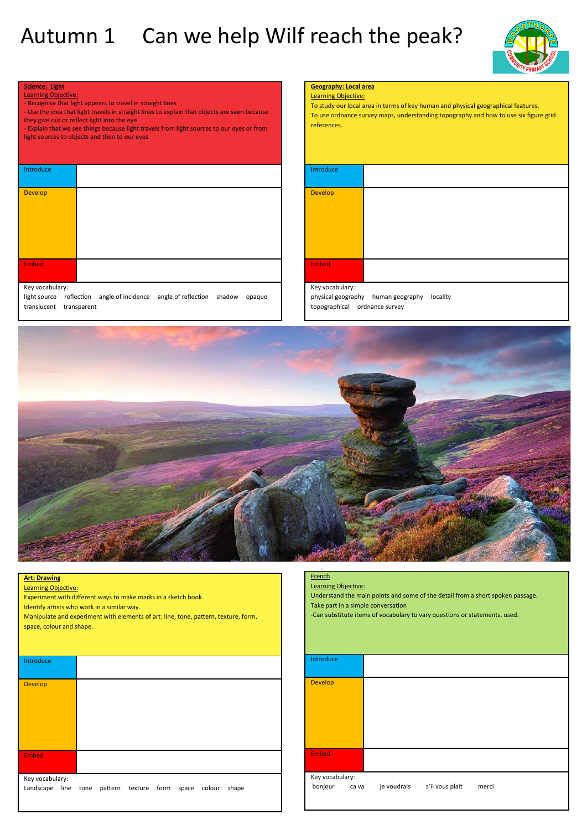## Autumn 1 Can we help Wilf reach the peak?



| г<br>- 12 | œ |  |
|-----------|---|--|
|           |   |  |

- Learning Objective: - Recognise that light appears to travel in straight lines
- Use the idea that light travels in straight lines to explain that objects are seen because they give out or reflect light into the eye
- Explain that we see things because light travels from light sources to our eyes or from light sources to objects and then to our eyes

| Introduce |  |
|-----------|--|
| Develop   |  |
| Embed     |  |

#### Key vocabulary:

light source reflection angle of incidence angle of reflection shadow opaque translucent transparent

#### **Geography: Local area** Learning Objective:

To study our local area in terms of key human and physical geographical features. To use ordnance survey maps, understanding topography and how to use six figure grid references.

| Introduce    |  |  |
|--------------|--|--|
| Develop      |  |  |
|              |  |  |
|              |  |  |
|              |  |  |
| <b>Embed</b> |  |  |
|              |  |  |

#### Key vocabulary:

physical geography human geography locality topographical ordnance survey



#### **Art: Drawing**

Learning Objective:

Experiment with different ways to make marks in a sketch book.

Identify artists who work in a similar way.

Manipulate and experiment with elements of art: line, tone, pattern, texture, form, space, colour and shape.

| Introduce       |                                                                |
|-----------------|----------------------------------------------------------------|
| <b>Develop</b>  |                                                                |
| <b>Embed</b>    |                                                                |
| Key vocabulary: | Landscape line tone pattern texture form space colour<br>shape |

### French

Learning Objective:

Understand the main points and some of the detail from a short spoken passage. Take part in a simple conversation

-Can substitute items of vocabulary to vary questions or statements. used.

| Introduce                           |             |                 |       |  |
|-------------------------------------|-------------|-----------------|-------|--|
| <b>Develop</b>                      |             |                 |       |  |
| <b>Embed</b>                        |             |                 |       |  |
| Key vocabulary:<br>bonjour<br>ca va | je voudrais | s'il vous plait | merci |  |